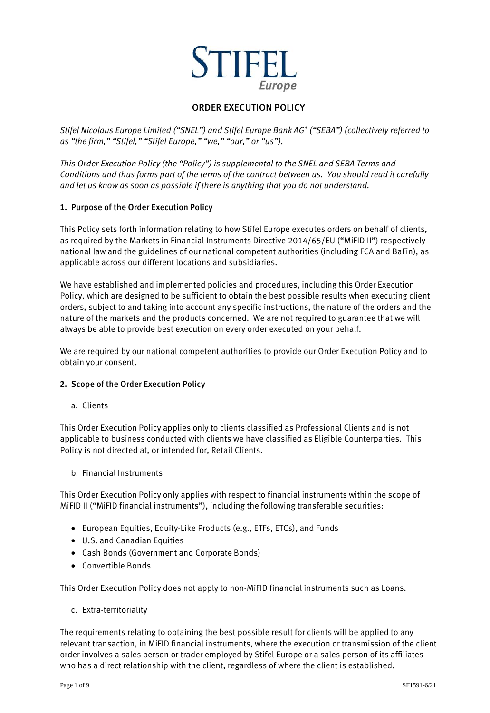

# ORDER EXECUTION POLICY

*Stifel Nicolaus Europe Limited ("SNEL") and Stifel Europe Bank AG<sup>1</sup> ("SEBA") (collectively referred to as "the firm," "Stifel," "Stifel Europe," "we," "our," or "us").*

*This Order Execution Policy (the "Policy") is supplemental to the SNEL and SEBA Terms and Conditions and thus forms part of the terms of the contract between us. You should read it carefully and let us know as soon as possible if there is anything that you do not understand.*

### **1.** Purpose of the Order Execution Policy

This Policy sets forth information relating to how Stifel Europe executes orders on behalf of clients, as required by the Markets in Financial Instruments Directive 2014/65/EU ("MiFID II") respectively national law and the guidelines of our national competent authorities (including FCA and BaFin), as applicable across our different locations and subsidiaries.

We have established and implemented policies and procedures, including this Order Execution Policy, which are designed to be sufficient to obtain the best possible results when executing client orders, subject to and taking into account any specific instructions, the nature of the orders and the nature of the markets and the products concerned. We are not required to guarantee that we will always be able to provide best execution on every order executed on your behalf.

We are required by our national competent authorities to provide our Order Execution Policy and to obtain your consent.

#### **2.** Scope of the Order Execution Policy

a. Clients

This Order Execution Policy applies only to clients classified as Professional Clients and is not applicable to business conducted with clients we have classified as Eligible Counterparties. This Policy is not directed at, or intended for, Retail Clients.

b. Financial Instruments

This Order Execution Policy only applies with respect to financial instruments within the scope of MiFID II ("MiFID financial instruments"), including the following transferable securities:

- European Equities, Equity-Like Products (e.g., ETFs, ETCs), and Funds
- U.S. and Canadian Equities
- Cash Bonds (Government and Corporate Bonds)
- Convertible Bonds

This Order Execution Policy does not apply to non-MiFID financial instruments such as Loans.

c. Extra-territoriality

The requirements relating to obtaining the best possible result for clients will be applied to any relevant transaction, in MiFID financial instruments, where the execution or transmission of the client order involves a sales person or trader employed by Stifel Europe or a sales person of its affiliates who has a direct relationship with the client, regardless of where the client is established.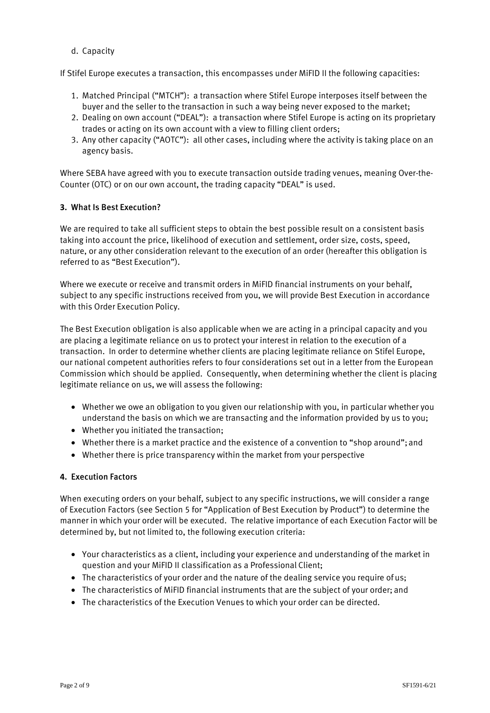d. Capacity

If Stifel Europe executes a transaction, this encompasses under MiFID II the following capacities:

- 1. Matched Principal ("MTCH"): a transaction where Stifel Europe interposes itself between the buyer and the seller to the transaction in such a way being never exposed to the market;
- 2. Dealing on own account ("DEAL"): a transaction where Stifel Europe is acting on its proprietary trades or acting on its own account with a view to filling client orders;
- 3. Any other capacity ("AOTC"): all other cases, including where the activity is taking place on an agency basis.

Where SEBA have agreed with you to execute transaction outside trading venues, meaning Over-the-Counter (OTC) or on our own account, the trading capacity "DEAL" is used.

### **3.** What Is Best Execution?

We are required to take all sufficient steps to obtain the best possible result on a consistent basis taking into account the price, likelihood of execution and settlement, order size, costs, speed, nature, or any other consideration relevant to the execution of an order (hereafter this obligation is referred to as "Best Execution").

Where we execute or receive and transmit orders in MiFID financial instruments on your behalf, subject to any specific instructions received from you, we will provide Best Execution in accordance with this Order Execution Policy.

The Best Execution obligation is also applicable when we are acting in a principal capacity and you are placing a legitimate reliance on us to protect your interest in relation to the execution of a transaction. In order to determine whether clients are placing legitimate reliance on Stifel Europe, our national competent authorities refers to four considerations set out in a letter from the European Commission which should be applied. Consequently, when determining whether the client is placing legitimate reliance on us, we will assess the following:

- Whether we owe an obligation to you given our relationship with you, in particular whether you understand the basis on which we are transacting and the information provided by us to you;
- Whether you initiated the transaction;
- Whether there is a market practice and the existence of a convention to "shop around";and
- Whether there is price transparency within the market from your perspective

#### **4.** Execution Factors

When executing orders on your behalf, subject to any specific instructions, we will consider a range of Execution Factors (see Section 5 for "Application of Best Execution by Product") to determine the manner in which your order will be executed. The relative importance of each Execution Factor will be determined by, but not limited to, the following execution criteria:

- Your characteristics as a client, including your experience and understanding of the market in question and your MiFID II classification as a Professional Client;
- The characteristics of your order and the nature of the dealing service you require of us;
- The characteristics of MiFID financial instruments that are the subject of your order; and
- The characteristics of the Execution Venues to which your order can be directed.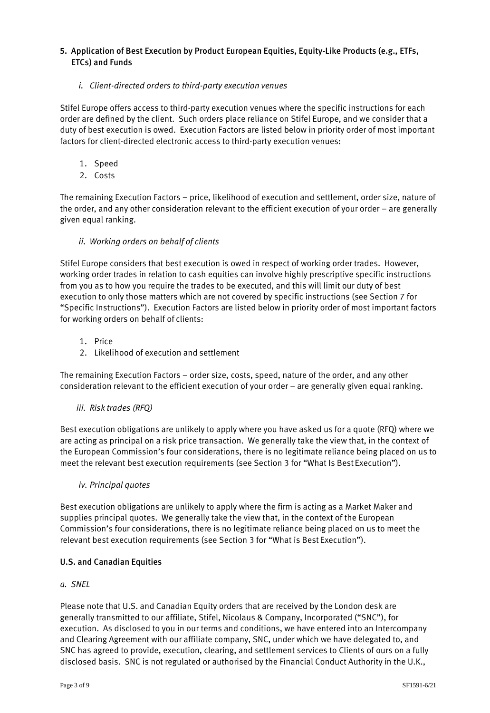### **5.** Application of Best Execution by Product European Equities, Equity-Like Products (e.g., ETFs, ETCs) and Funds

## *i. Client-directed orders to third-party execution venues*

Stifel Europe offers access to third-party execution venues where the specific instructions for each order are defined by the client. Such orders place reliance on Stifel Europe, and we consider that a duty of best execution is owed. Execution Factors are listed below in priority order of most important factors for client-directed electronic access to third-party execution venues:

- 1. Speed
- 2. Costs

The remaining Execution Factors – price, likelihood of execution and settlement, order size, nature of the order, and any other consideration relevant to the efficient execution of your order – are generally given equal ranking.

## *ii. Working orders on behalf of clients*

Stifel Europe considers that best execution is owed in respect of working order trades. However, working order trades in relation to cash equities can involve highly prescriptive specific instructions from you as to how you require the trades to be executed, and this will limit our duty of best execution to only those matters which are not covered by specific instructions (see Section 7 for "Specific Instructions"). Execution Factors are listed below in priority order of most important factors for working orders on behalf of clients:

- 1. Price
- 2. Likelihood of execution and settlement

The remaining Execution Factors – order size, costs, speed, nature of the order, and any other consideration relevant to the efficient execution of your order – are generally given equal ranking.

## *iii. Risk trades (RFQ)*

Best execution obligations are unlikely to apply where you have asked us for a quote (RFQ) where we are acting as principal on a risk price transaction. We generally take the view that, in the context of the European Commission's four considerations, there is no legitimate reliance being placed on us to meet the relevant best execution requirements (see Section 3 for "What Is Best Execution").

## *iv. Principal quotes*

Best execution obligations are unlikely to apply where the firm is acting as a Market Maker and supplies principal quotes. We generally take the view that, in the context of the European Commission's four considerations, there is no legitimate reliance being placed on us to meet the relevant best execution requirements (see Section 3 for "What is Best Execution").

## U.S. and Canadian Equities

## *a. SNEL*

Please note that U.S. and Canadian Equity orders that are received by the London desk are generally transmitted to our affiliate, Stifel, Nicolaus & Company, Incorporated ("SNC"), for execution. As disclosed to you in our terms and conditions, we have entered into an Intercompany and Clearing Agreement with our affiliate company, SNC, under which we have delegated to, and SNC has agreed to provide, execution, clearing, and settlement services to Clients of ours on a fully disclosed basis. SNC is not regulated or authorised by the Financial Conduct Authority in the U.K.,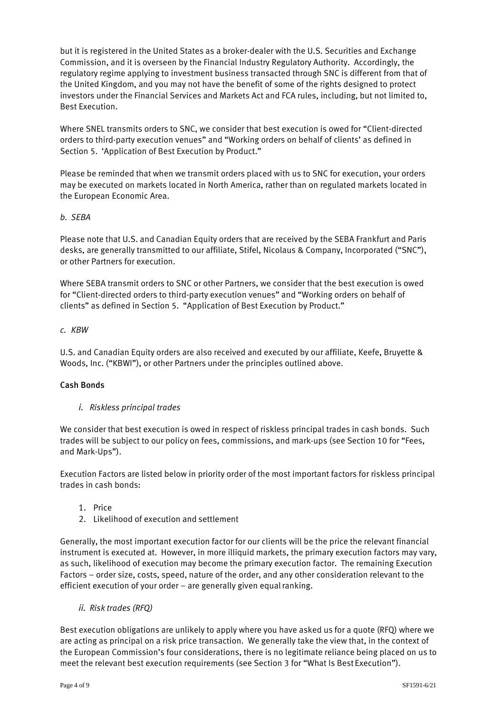but it is registered in the United States as a broker-dealer with the U.S. Securities and Exchange Commission, and it is overseen by the Financial Industry Regulatory Authority. Accordingly, the regulatory regime applying to investment business transacted through SNC is different from that of the United Kingdom, and you may not have the benefit of some of the rights designed to protect investors under the Financial Services and Markets Act and FCA rules, including, but not limited to, Best Execution.

Where SNEL transmits orders to SNC, we consider that best execution is owed for "Client-directed orders to third-party execution venues" and "Working orders on behalf of clients' as defined in Section 5. 'Application of Best Execution by Product."

Please be reminded that when we transmit orders placed with us to SNC for execution, your orders may be executed on markets located in North America, rather than on regulated markets located in the European Economic Area.

#### *b. SEBA*

Please note that U.S. and Canadian Equity orders that are received by the SEBA Frankfurt and Paris desks, are generally transmitted to our affiliate, Stifel, Nicolaus & Company, Incorporated ("SNC"), or other Partners for execution.

Where SEBA transmit orders to SNC or other Partners, we consider that the best execution is owed for "Client-directed orders to third-party execution venues" and "Working orders on behalf of clients" as defined in Section 5. "Application of Best Execution by Product."

### *c. KBW*

U.S. and Canadian Equity orders are also received and executed by our affiliate, Keefe, Bruyette & Woods, Inc. ("KBWI"), or other Partners under the principles outlined above.

## Cash Bonds

## *i. Riskless principal trades*

We consider that best execution is owed in respect of riskless principal trades in cash bonds. Such trades will be subject to our policy on fees, commissions, and mark-ups (see Section 10 for "Fees, and Mark-Ups").

Execution Factors are listed below in priority order of the most important factors for riskless principal trades in cash bonds:

- 1. Price
- 2. Likelihood of execution and settlement

Generally, the most important execution factor for our clients will be the price the relevant financial instrument is executed at. However, in more illiquid markets, the primary execution factors may vary, as such, likelihood of execution may become the primary execution factor. The remaining Execution Factors – order size, costs, speed, nature of the order, and any other consideration relevant to the efficient execution of your order  $-$  are generally given equal ranking.

## *ii. Risk trades (RFQ)*

Best execution obligations are unlikely to apply where you have asked us for a quote (RFQ) where we are acting as principal on a risk price transaction. We generally take the view that, in the context of the European Commission's four considerations, there is no legitimate reliance being placed on us to meet the relevant best execution requirements (see Section 3 for "What Is Best Execution").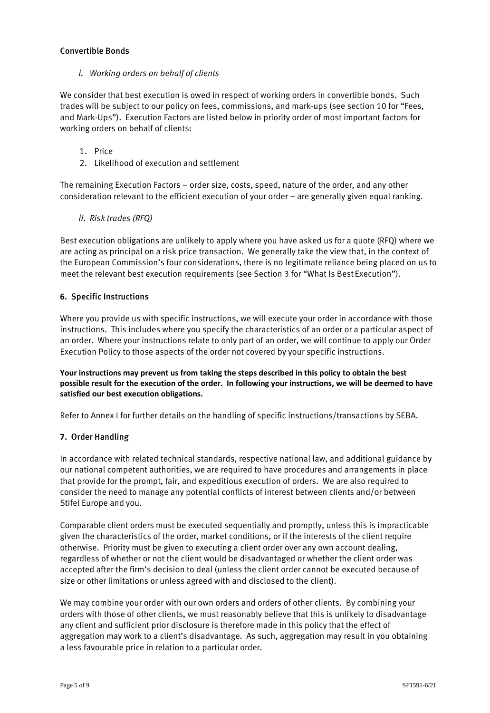### Convertible Bonds

*i. Working orders on behalf of clients*

We consider that best execution is owed in respect of working orders in convertible bonds. Such trades will be subject to our policy on fees, commissions, and mark-ups (see section 10 for "Fees, and Mark-Ups"). Execution Factors are listed below in priority order of most important factors for working orders on behalf of clients:

- 1. Price
- 2. Likelihood of execution and settlement

The remaining Execution Factors – order size, costs, speed, nature of the order, and any other consideration relevant to the efficient execution of your order – are generally given equal ranking.

### *ii. Risk trades (RFQ)*

Best execution obligations are unlikely to apply where you have asked us for a quote (RFQ) where we are acting as principal on a risk price transaction. We generally take the view that, in the context of the European Commission's four considerations, there is no legitimate reliance being placed on us to meet the relevant best execution requirements (see Section 3 for "What Is Best Execution").

### **6.** Specific Instructions

Where you provide us with specific instructions, we will execute your order in accordance with those instructions. This includes where you specify the characteristics of an order or a particular aspect of an order. Where your instructions relate to only part of an order, we will continue to apply our Order Execution Policy to those aspects of the order not covered by your specific instructions.

**Your instructions may prevent us from taking the steps described in this policy to obtain the best possible result for the execution of the order. In following your instructions, we will be deemed to have satisfied our best execution obligations.**

Refer to Annex I for further details on the handling of specific instructions/transactions by SEBA.

#### **7.** Order Handling

In accordance with related technical standards, respective national law, and additional guidance by our national competent authorities, we are required to have procedures and arrangements in place that provide for the prompt, fair, and expeditious execution of orders. We are also required to consider the need to manage any potential conflicts of interest between clients and/or between Stifel Europe and you.

Comparable client orders must be executed sequentially and promptly, unless this is impracticable given the characteristics of the order, market conditions, or if the interests of the client require otherwise. Priority must be given to executing a client order over any own account dealing, regardless of whether or not the client would be disadvantaged or whether the client order was accepted after the firm's decision to deal (unless the client order cannot be executed because of size or other limitations or unless agreed with and disclosed to the client).

We may combine your order with our own orders and orders of other clients. By combining your orders with those of other clients, we must reasonably believe that this is unlikely to disadvantage any client and sufficient prior disclosure is therefore made in this policy that the effect of aggregation may work to a client's disadvantage. As such, aggregation may result in you obtaining a less favourable price in relation to a particular order.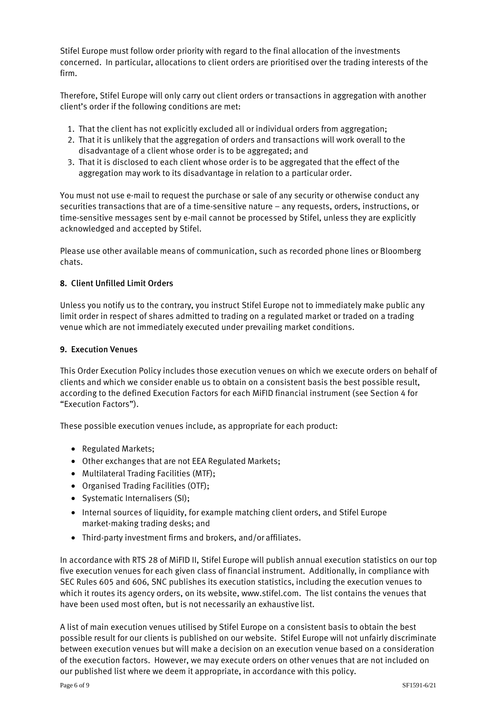Stifel Europe must follow order priority with regard to the final allocation of the investments concerned. In particular, allocations to client orders are prioritised over the trading interests of the firm.

Therefore, Stifel Europe will only carry out client orders or transactions in aggregation with another client's order if the following conditions are met:

- 1. That the client has not explicitly excluded all or individual orders from aggregation;
- 2. That it is unlikely that the aggregation of orders and transactions will work overall to the disadvantage of a client whose order is to be aggregated; and
- 3. That it is disclosed to each client whose order is to be aggregated that the effect of the aggregation may work to its disadvantage in relation to a particular order.

You must not use e-mail to request the purchase or sale of any security or otherwise conduct any securities transactions that are of a time-sensitive nature – any requests, orders, instructions, or time-sensitive messages sent by e-mail cannot be processed by Stifel, unless they are explicitly acknowledged and accepted by Stifel.

Please use other available means of communication, such as recorded phone lines or Bloomberg chats.

### **8.** Client Unfilled Limit Orders

Unless you notify us to the contrary, you instruct Stifel Europe not to immediately make public any limit order in respect of shares admitted to trading on a regulated market or traded on a trading venue which are not immediately executed under prevailing market conditions.

#### **9.** Execution Venues

This Order Execution Policy includes those execution venues on which we execute orders on behalf of clients and which we consider enable us to obtain on a consistent basis the best possible result, according to the defined Execution Factors for each MiFID financial instrument (see Section 4 for "Execution Factors").

These possible execution venues include, as appropriate for each product:

- Regulated Markets;
- Other exchanges that are not EEA Regulated Markets;
- Multilateral Trading Facilities (MTF);
- Organised Trading Facilities (OTF);
- Systematic Internalisers (SI);
- Internal sources of liquidity, for example matching client orders, and Stifel Europe market-making trading desks; and
- Third-party investment firms and brokers, and/or affiliates.

In accordance with RTS 28 of MiFID II, Stifel Europe will publish annual execution statistics on our top five execution venues for each given class of financial instrument. Additionally, in compliance with SEC Rules 605 and 606, SNC publishes its execution statistics, including the execution venues to which it routes its agency orders, on its website, [www.stifel.com.](http://www.stifel.com/) The list contains the venues that have been used most often, but is not necessarily an exhaustive list.

A list of main execution venues utilised by Stifel Europe on a consistent basis to obtain the best possible result for our clients is published on our website. Stifel Europe will not unfairly discriminate between execution venues but will make a decision on an execution venue based on a consideration of the execution factors. However, we may execute orders on other venues that are not included on our published list where we deem it appropriate, in accordance with this policy.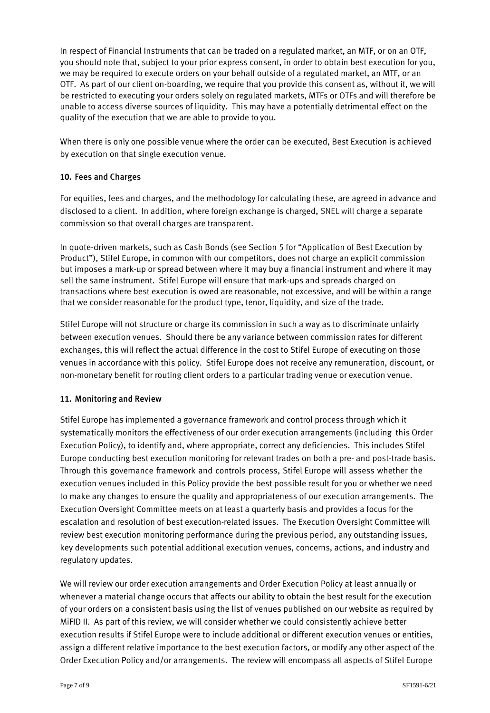In respect of Financial Instruments that can be traded on a regulated market, an MTF, or on an OTF, you should note that, subject to your prior express consent, in order to obtain best execution for you, we may be required to execute orders on your behalf outside of a regulated market, an MTF, or an OTF. As part of our client on-boarding, we require that you provide this consent as, without it, we will be restricted to executing your orders solely on regulated markets, MTFs or OTFs and will therefore be unable to access diverse sources of liquidity. This may have a potentially detrimental effect on the quality of the execution that we are able to provide to you.

When there is only one possible venue where the order can be executed, Best Execution is achieved by execution on that single execution venue.

# **10.** Fees and Charges

For equities, fees and charges, and the methodology for calculating these, are agreed in advance and disclosed to a client. In addition, where foreign exchange is charged, SNEL will charge a separate commission so that overall charges are transparent.

In quote-driven markets, such as Cash Bonds (see Section 5 for "Application of Best Execution by Product"), Stifel Europe, in common with our competitors, does not charge an explicit commission but imposes a mark-up or spread between where it may buy a financial instrument and where it may sell the same instrument. Stifel Europe will ensure that mark-ups and spreads charged on transactions where best execution is owed are reasonable, not excessive, and will be within a range that we consider reasonable for the product type, tenor, liquidity, and size of the trade.

Stifel Europe will not structure or charge its commission in such a way as to discriminate unfairly between execution venues. Should there be any variance between commission rates for different exchanges, this will reflect the actual difference in the cost to Stifel Europe of executing on those venues in accordance with this policy. Stifel Europe does not receive any remuneration, discount, or non-monetary benefit for routing client orders to a particular trading venue or execution venue.

## **11.** Monitoring and Review

Stifel Europe has implemented a governance framework and control process through which it systematically monitors the effectiveness of our order execution arrangements (including this Order Execution Policy), to identify and, where appropriate, correct any deficiencies. This includes Stifel Europe conducting best execution monitoring for relevant trades on both a pre- and post-trade basis. Through this governance framework and controls process, Stifel Europe will assess whether the execution venues included in this Policy provide the best possible result for you or whether we need to make any changes to ensure the quality and appropriateness of our execution arrangements. The Execution Oversight Committee meets on at least a quarterly basis and provides a focus for the escalation and resolution of best execution-related issues. The Execution Oversight Committee will review best execution monitoring performance during the previous period, any outstanding issues, key developments such potential additional execution venues, concerns, actions, and industry and regulatory updates.

We will review our order execution arrangements and Order Execution Policy at least annually or whenever a material change occurs that affects our ability to obtain the best result for the execution of your orders on a consistent basis using the list of venues published on our website as required by MiFID II. As part of this review, we will consider whether we could consistently achieve better execution results if Stifel Europe were to include additional or different execution venues or entities, assign a different relative importance to the best execution factors, or modify any other aspect of the Order Execution Policy and/or arrangements. The review will encompass all aspects of Stifel Europe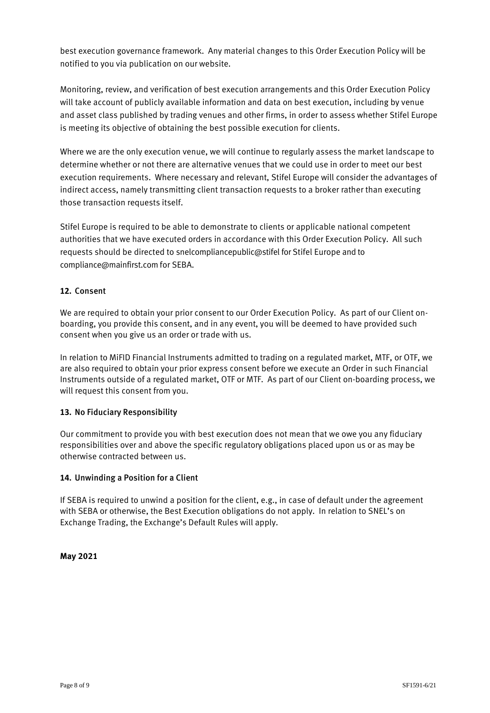best execution governance framework. Any material changes to this Order Execution Policy will be notified to you via publication on our website.

Monitoring, review, and verification of best execution arrangements and this Order Execution Policy will take account of publicly available information and data on best execution, including by venue and asset class published by trading venues and other firms, in order to assess whether Stifel Europe is meeting its objective of obtaining the best possible execution for clients.

Where we are the only execution venue, we will continue to regularly assess the market landscape to determine whether or not there are alternative venues that we could use in order to meet our best execution requirements. Where necessary and relevant, Stifel Europe will consider the advantages of indirect access, namely transmitting client transaction requests to a broker rather than executing those transaction requests itself.

Stifel Europe is required to be able to demonstrate to clients or applicable national competent authorities that we have executed orders in accordance with this Order Execution Policy. All such requests should be directed to snelcompliancepublic@stifel for Stifel Europe and to compliance@mainfirst.com for SEBA.

# **12.** Consent

We are required to obtain your prior consent to our Order Execution Policy. As part of our Client onboarding, you provide this consent, and in any event, you will be deemed to have provided such consent when you give us an order or trade with us.

In relation to MiFID Financial Instruments admitted to trading on a regulated market, MTF, or OTF, we are also required to obtain your prior express consent before we execute an Order in such Financial Instruments outside of a regulated market, OTF or MTF. As part of our Client on-boarding process, we will request this consent from you.

## **13.** No Fiduciary Responsibility

Our commitment to provide you with best execution does not mean that we owe you any fiduciary responsibilities over and above the specific regulatory obligations placed upon us or as may be otherwise contracted between us.

#### **14.** Unwinding a Position for a Client

If SEBA is required to unwind a position for the client, e.g., in case of default under the agreement with SEBA or otherwise, the Best Execution obligations do not apply. In relation to SNEL's on Exchange Trading, the Exchange's Default Rules will apply.

## **May 2021**